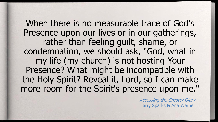When there is no measurable trace of God's Presence upon our lives or in our gatherings, rather than feeling guilt, shame, or condemnation, we should ask, "God, what in my life (my church) is not hosting Your Presence? What might be incompatible with the Holy Spirit? Reveal it, Lord, so I can make more room for the Spirit's presence upon me."

> Accessing the Greater Glory Larry Sparks & Ana Werner

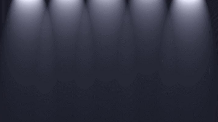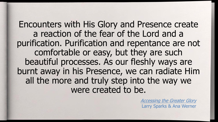Encounters with His Glory and Presence create a reaction of the fear of the Lord and a purification. Purification and repentance are not comfortable or easy, but they are such beautiful processes. As our fleshly ways are burnt away in his Presence, we can radiate Him all the more and truly step into the way we were created to be.

> Accessing the Greater Glory Larry Sparks & Ana Werner

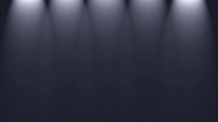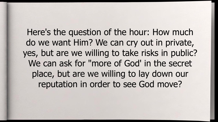Here's the question of the hour: How much do we want Him? We can cry out in private, yes, but are we willing to take risks in public? We can ask for "more of God' in the secret place, but are we willing to lay down our reputation in order to see God move?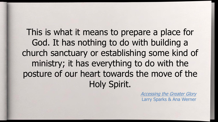This is what it means to prepare a place for God. It has nothing to do with building a church sanctuary or establishing some kind of ministry; it has everything to do with the posture of our heart towards the move of the Holy Spirit.

> Accessing the Greater Glory Larry Sparks & Ana Werner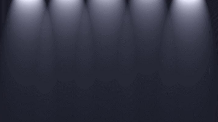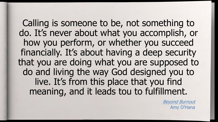Calling is someone to be, not something to do. It's never about what you accomplish, or how you perform, or whether you succeed financially. It's about having a deep security that you are doing what you are supposed to do and living the way God designed you to live. It's from this place that you find meaning, and it leads tou to fulfillment.

Beyond Burnout Amy O'Hana